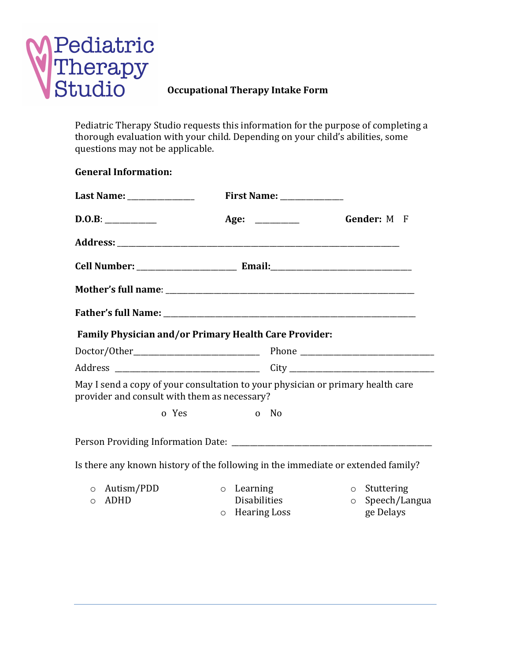

# **Occupational Therapy Intake Form**

Pediatric Therapy Studio requests this information for the purpose of completing a thorough evaluation with your child. Depending on your child's abilities, some questions may not be applicable.

| <b>General Information:</b> |  |
|-----------------------------|--|
|-----------------------------|--|

| Last Name: _________________                                                                                                    |                                                                     |                                                             |
|---------------------------------------------------------------------------------------------------------------------------------|---------------------------------------------------------------------|-------------------------------------------------------------|
| D.0.B:                                                                                                                          | Age:                                                                | Gender: M F                                                 |
|                                                                                                                                 |                                                                     |                                                             |
|                                                                                                                                 |                                                                     |                                                             |
|                                                                                                                                 |                                                                     |                                                             |
|                                                                                                                                 |                                                                     |                                                             |
| <b>Family Physician and/or Primary Health Care Provider:</b>                                                                    |                                                                     |                                                             |
|                                                                                                                                 |                                                                     |                                                             |
|                                                                                                                                 |                                                                     |                                                             |
| May I send a copy of your consultation to your physician or primary health care<br>provider and consult with them as necessary? |                                                                     |                                                             |
| o Yes                                                                                                                           | o No                                                                |                                                             |
|                                                                                                                                 |                                                                     |                                                             |
| Is there any known history of the following in the immediate or extended family?                                                |                                                                     |                                                             |
| $\circ$ Autism/PDD<br><b>ADHD</b><br>$\circ$                                                                                    | $\circ$ Learning<br><b>Disabilities</b><br><b>Hearing Loss</b><br>O | $\circ$ Stuttering<br>Speech/Langua<br>$\circ$<br>ge Delays |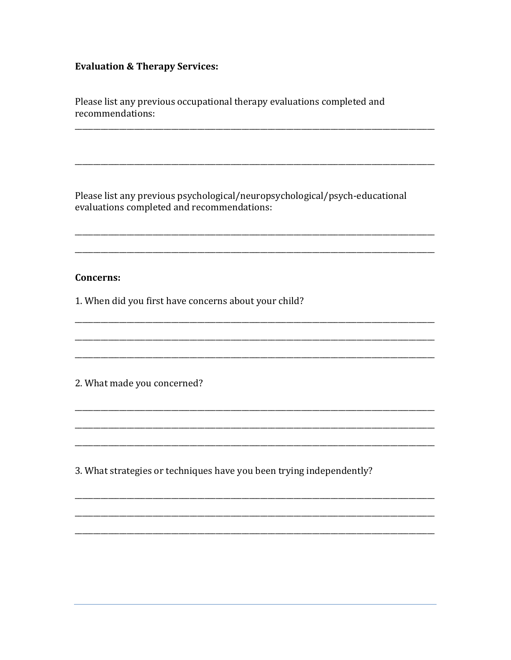#### **Evaluation & Therapy Services:**

Please list any previous occupational therapy evaluations completed and recommendations:

Please list any previous psychological/neuropsychological/psych-educational evaluations completed and recommendations:

#### **Concerns:**

1. When did you first have concerns about your child?

2. What made you concerned?

3. What strategies or techniques have you been trying independently?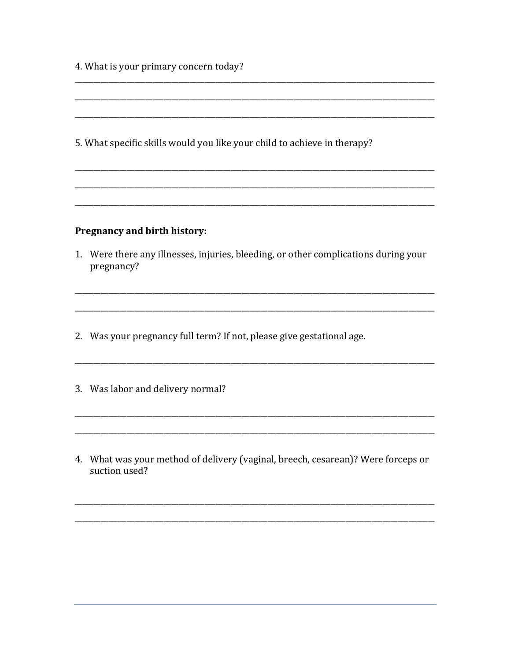4. What is your primary concern today?

5. What specific skills would you like your child to achieve in therapy?

## Pregnancy and birth history:

1. Were there any illnesses, injuries, bleeding, or other complications during your pregnancy?

2. Was your pregnancy full term? If not, please give gestational age.

- 3. Was labor and delivery normal?
- 4. What was your method of delivery (vaginal, breech, cesarean)? Were forceps or suction used?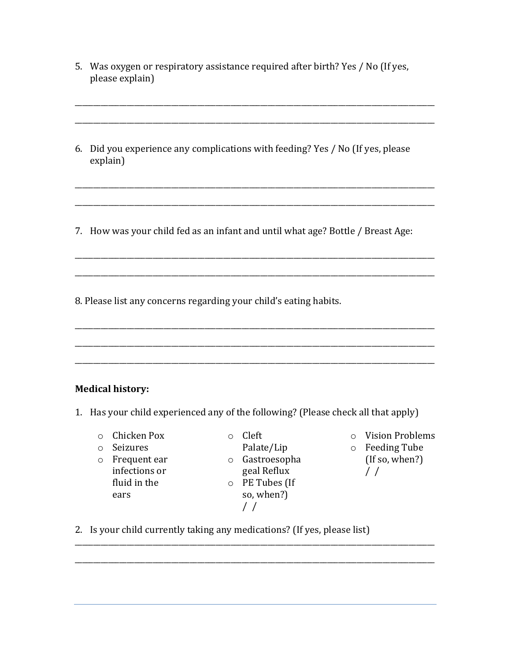5. Was oxygen or respiratory assistance required after birth? Yes / No (If yes, please explain)

\_\_\_\_\_\_\_\_\_\_\_\_\_\_\_\_\_\_\_\_\_\_\_\_\_\_\_\_\_\_\_\_\_\_\_\_\_\_\_\_\_\_\_\_\_\_\_\_\_\_\_\_\_\_\_\_\_\_\_\_\_\_\_\_\_\_\_\_\_\_\_\_\_\_\_\_\_\_\_\_\_\_\_\_\_\_\_\_\_\_\_\_\_\_\_\_\_

\_\_\_\_\_\_\_\_\_\_\_\_\_\_\_\_\_\_\_\_\_\_\_\_\_\_\_\_\_\_\_\_\_\_\_\_\_\_\_\_\_\_\_\_\_\_\_\_\_\_\_\_\_\_\_\_\_\_\_\_\_\_\_\_\_\_\_\_\_\_\_\_\_\_\_\_\_\_\_\_\_\_\_\_\_\_\_\_\_\_\_\_\_\_\_\_\_

\_\_\_\_\_\_\_\_\_\_\_\_\_\_\_\_\_\_\_\_\_\_\_\_\_\_\_\_\_\_\_\_\_\_\_\_\_\_\_\_\_\_\_\_\_\_\_\_\_\_\_\_\_\_\_\_\_\_\_\_\_\_\_\_\_\_\_\_\_\_\_\_\_\_\_\_\_\_\_\_\_\_\_\_\_\_\_\_\_\_\_\_\_\_\_\_\_

\_\_\_\_\_\_\_\_\_\_\_\_\_\_\_\_\_\_\_\_\_\_\_\_\_\_\_\_\_\_\_\_\_\_\_\_\_\_\_\_\_\_\_\_\_\_\_\_\_\_\_\_\_\_\_\_\_\_\_\_\_\_\_\_\_\_\_\_\_\_\_\_\_\_\_\_\_\_\_\_\_\_\_\_\_\_\_\_\_\_\_\_\_\_\_\_\_

\_\_\_\_\_\_\_\_\_\_\_\_\_\_\_\_\_\_\_\_\_\_\_\_\_\_\_\_\_\_\_\_\_\_\_\_\_\_\_\_\_\_\_\_\_\_\_\_\_\_\_\_\_\_\_\_\_\_\_\_\_\_\_\_\_\_\_\_\_\_\_\_\_\_\_\_\_\_\_\_\_\_\_\_\_\_\_\_\_\_\_\_\_\_\_\_\_

\_\_\_\_\_\_\_\_\_\_\_\_\_\_\_\_\_\_\_\_\_\_\_\_\_\_\_\_\_\_\_\_\_\_\_\_\_\_\_\_\_\_\_\_\_\_\_\_\_\_\_\_\_\_\_\_\_\_\_\_\_\_\_\_\_\_\_\_\_\_\_\_\_\_\_\_\_\_\_\_\_\_\_\_\_\_\_\_\_\_\_\_\_\_\_\_\_

\_\_\_\_\_\_\_\_\_\_\_\_\_\_\_\_\_\_\_\_\_\_\_\_\_\_\_\_\_\_\_\_\_\_\_\_\_\_\_\_\_\_\_\_\_\_\_\_\_\_\_\_\_\_\_\_\_\_\_\_\_\_\_\_\_\_\_\_\_\_\_\_\_\_\_\_\_\_\_\_\_\_\_\_\_\_\_\_\_\_\_\_\_\_\_\_\_

\_\_\_\_\_\_\_\_\_\_\_\_\_\_\_\_\_\_\_\_\_\_\_\_\_\_\_\_\_\_\_\_\_\_\_\_\_\_\_\_\_\_\_\_\_\_\_\_\_\_\_\_\_\_\_\_\_\_\_\_\_\_\_\_\_\_\_\_\_\_\_\_\_\_\_\_\_\_\_\_\_\_\_\_\_\_\_\_\_\_\_\_\_\_\_\_\_

6. Did you experience any complications with feeding? Yes / No (If yes, please explain) 

7. How was your child fed as an infant and until what age? Bottle / Breast Age:

8. Please list any concerns regarding your child's eating habits.

#### **Medical history:**

1. Has your child experienced any of the following? (Please check all that apply)

\_\_\_\_\_\_\_\_\_\_\_\_\_\_\_\_\_\_\_\_\_\_\_\_\_\_\_\_\_\_\_\_\_\_\_\_\_\_\_\_\_\_\_\_\_\_\_\_\_\_\_\_\_\_\_\_\_\_\_\_\_\_\_\_\_\_\_\_\_\_\_\_\_\_\_\_\_\_\_\_\_\_\_\_\_\_\_\_\_\_\_\_\_\_\_\_\_

\_\_\_\_\_\_\_\_\_\_\_\_\_\_\_\_\_\_\_\_\_\_\_\_\_\_\_\_\_\_\_\_\_\_\_\_\_\_\_\_\_\_\_\_\_\_\_\_\_\_\_\_\_\_\_\_\_\_\_\_\_\_\_\_\_\_\_\_\_\_\_\_\_\_\_\_\_\_\_\_\_\_\_\_\_\_\_\_\_\_\_\_\_\_\_\_\_

|          | 0 Chicken Pox |         | Cleft.       |
|----------|---------------|---------|--------------|
| $\Omega$ | Seizures      |         | Palate/Lip   |
| $\circ$  | Frequent ear  | $\circ$ | Gastroesopha |
|          | infections or |         | geal Reflux  |
|          | fluid in the  | $\circ$ | PE Tubes (If |
|          | ears          |         | so, when?)   |
|          |               |         |              |

o Vision Problems  $\circ$  Feeding Tube  $($ If so, when? $)$  $/$ 

2. Is your child currently taking any medications? (If yes, please list)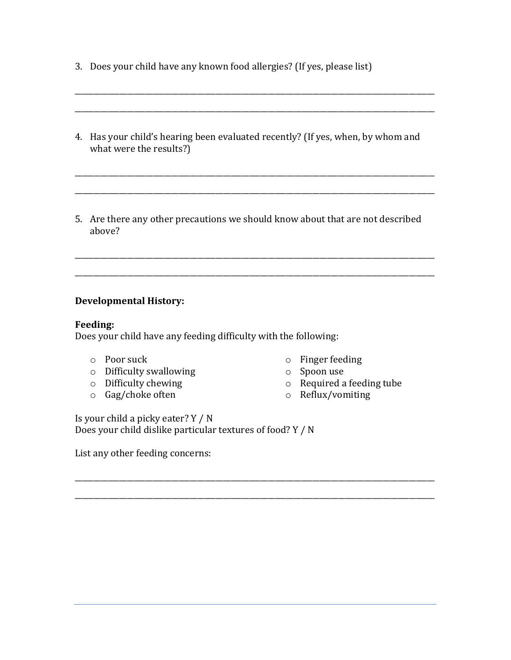- 3. Does your child have any known food allergies? (If yes, please list)
- 4. Has your child's hearing been evaluated recently? (If yes, when, by whom and what were the results?)

\_\_\_\_\_\_\_\_\_\_\_\_\_\_\_\_\_\_\_\_\_\_\_\_\_\_\_\_\_\_\_\_\_\_\_\_\_\_\_\_\_\_\_\_\_\_\_\_\_\_\_\_\_\_\_\_\_\_\_\_\_\_\_\_\_\_\_\_\_\_\_\_\_\_\_\_\_\_\_\_\_\_\_\_\_\_\_\_\_\_\_\_\_\_\_\_\_

\_\_\_\_\_\_\_\_\_\_\_\_\_\_\_\_\_\_\_\_\_\_\_\_\_\_\_\_\_\_\_\_\_\_\_\_\_\_\_\_\_\_\_\_\_\_\_\_\_\_\_\_\_\_\_\_\_\_\_\_\_\_\_\_\_\_\_\_\_\_\_\_\_\_\_\_\_\_\_\_\_\_\_\_\_\_\_\_\_\_\_\_\_\_\_\_\_

\_\_\_\_\_\_\_\_\_\_\_\_\_\_\_\_\_\_\_\_\_\_\_\_\_\_\_\_\_\_\_\_\_\_\_\_\_\_\_\_\_\_\_\_\_\_\_\_\_\_\_\_\_\_\_\_\_\_\_\_\_\_\_\_\_\_\_\_\_\_\_\_\_\_\_\_\_\_\_\_\_\_\_\_\_\_\_\_\_\_\_\_\_\_\_\_\_

\_\_\_\_\_\_\_\_\_\_\_\_\_\_\_\_\_\_\_\_\_\_\_\_\_\_\_\_\_\_\_\_\_\_\_\_\_\_\_\_\_\_\_\_\_\_\_\_\_\_\_\_\_\_\_\_\_\_\_\_\_\_\_\_\_\_\_\_\_\_\_\_\_\_\_\_\_\_\_\_\_\_\_\_\_\_\_\_\_\_\_\_\_\_\_\_\_

5. Are there any other precautions we should know about that are not described above?

\_\_\_\_\_\_\_\_\_\_\_\_\_\_\_\_\_\_\_\_\_\_\_\_\_\_\_\_\_\_\_\_\_\_\_\_\_\_\_\_\_\_\_\_\_\_\_\_\_\_\_\_\_\_\_\_\_\_\_\_\_\_\_\_\_\_\_\_\_\_\_\_\_\_\_\_\_\_\_\_\_\_\_\_\_\_\_\_\_\_\_\_\_\_\_\_\_

\_\_\_\_\_\_\_\_\_\_\_\_\_\_\_\_\_\_\_\_\_\_\_\_\_\_\_\_\_\_\_\_\_\_\_\_\_\_\_\_\_\_\_\_\_\_\_\_\_\_\_\_\_\_\_\_\_\_\_\_\_\_\_\_\_\_\_\_\_\_\_\_\_\_\_\_\_\_\_\_\_\_\_\_\_\_\_\_\_\_\_\_\_\_\_\_\_

\_\_\_\_\_\_\_\_\_\_\_\_\_\_\_\_\_\_\_\_\_\_\_\_\_\_\_\_\_\_\_\_\_\_\_\_\_\_\_\_\_\_\_\_\_\_\_\_\_\_\_\_\_\_\_\_\_\_\_\_\_\_\_\_\_\_\_\_\_\_\_\_\_\_\_\_\_\_\_\_\_\_\_\_\_\_\_\_\_\_\_\_\_\_\_\_\_

\_\_\_\_\_\_\_\_\_\_\_\_\_\_\_\_\_\_\_\_\_\_\_\_\_\_\_\_\_\_\_\_\_\_\_\_\_\_\_\_\_\_\_\_\_\_\_\_\_\_\_\_\_\_\_\_\_\_\_\_\_\_\_\_\_\_\_\_\_\_\_\_\_\_\_\_\_\_\_\_\_\_\_\_\_\_\_\_\_\_\_\_\_\_\_\_\_

### **Developmental History:**

#### **Feeding:**

Does your child have any feeding difficulty with the following:

- o Poor suck
- $\circ$  Difficulty swallowing
- $\circ$  Difficulty chewing
- $\circ$  Gag/choke often
- $\circ$  Finger feeding
- o Spoon use
- $\circ$  Required a feeding tube
- o Reflux/vomiting

Is your child a picky eater?  $Y / N$ Does your child dislike particular textures of food?  $Y / N$ 

List any other feeding concerns: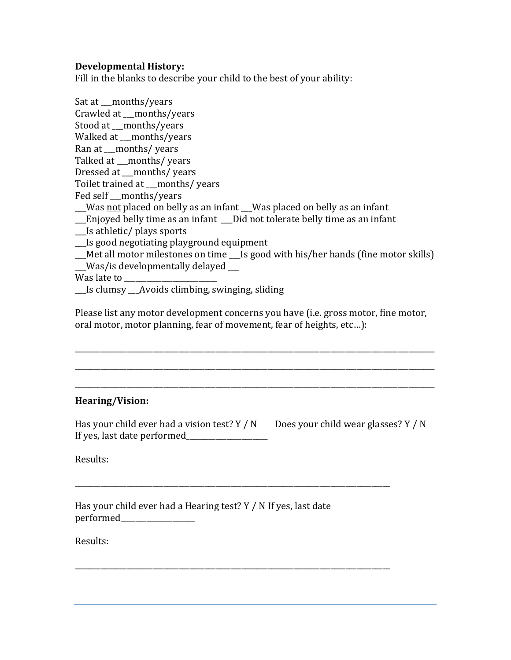#### **Developmental History:**

Fill in the blanks to describe your child to the best of your ability:

Sat at months/years Crawled at \_\_months/years Stood at \_\_months/years Walked at \_\_months/years Ran at months/ years Talked at \_\_months/ years Dressed at \_\_months/ years Toilet trained at months/ years Fed self \_\_months/years \_\_Was not placed on belly as an infant \_\_Was placed on belly as an infant \_\_\_Enjoyed belly time as an infant \_\_\_Did not tolerate belly time as an infant \_\_\_Is athletic/ plays sports \_\_\_Is good negotiating playground equipment \_Met all motor milestones on time \_\_Is good with his/her hands (fine motor skills) \_\_\_Was/is developmentally delayed \_\_\_

Was late to

Is clumsy Avoids climbing, swinging, sliding

Please list any motor development concerns you have (i.e. gross motor, fine motor, oral motor, motor planning, fear of movement, fear of heights, etc...):

\_\_\_\_\_\_\_\_\_\_\_\_\_\_\_\_\_\_\_\_\_\_\_\_\_\_\_\_\_\_\_\_\_\_\_\_\_\_\_\_\_\_\_\_\_\_\_\_\_\_\_\_\_\_\_\_\_\_\_\_\_\_\_\_\_\_\_\_\_\_\_\_\_\_\_\_\_\_\_\_\_\_\_\_\_\_\_\_\_\_\_\_\_\_\_\_\_

\_\_\_\_\_\_\_\_\_\_\_\_\_\_\_\_\_\_\_\_\_\_\_\_\_\_\_\_\_\_\_\_\_\_\_\_\_\_\_\_\_\_\_\_\_\_\_\_\_\_\_\_\_\_\_\_\_\_\_\_\_\_\_\_\_\_\_\_\_\_\_\_\_\_\_\_\_\_\_\_\_\_\_\_\_\_\_\_\_\_\_\_\_\_\_\_\_

\_\_\_\_\_\_\_\_\_\_\_\_\_\_\_\_\_\_\_\_\_\_\_\_\_\_\_\_\_\_\_\_\_\_\_\_\_\_\_\_\_\_\_\_\_\_\_\_\_\_\_\_\_\_\_\_\_\_\_\_\_\_\_\_\_\_\_\_\_\_\_\_\_\_\_\_\_\_\_\_\_\_\_\_\_\_\_\_\_\_\_\_\_\_\_\_\_

### **Hearing/Vision:**

Has your child ever had a vision test? Y  $/ N$  Does your child wear glasses? Y  $/ N$ If yes, last date performed

\_\_\_\_\_\_\_\_\_\_\_\_\_\_\_\_\_\_\_\_\_\_\_\_\_\_\_\_\_\_\_\_\_\_\_\_\_\_\_\_\_\_\_\_\_\_\_\_\_\_\_\_\_\_\_\_\_\_\_\_\_\_\_\_\_\_\_\_\_\_\_\_\_\_\_\_\_\_\_\_\_\_\_\_\_

\_\_\_\_\_\_\_\_\_\_\_\_\_\_\_\_\_\_\_\_\_\_\_\_\_\_\_\_\_\_\_\_\_\_\_\_\_\_\_\_\_\_\_\_\_\_\_\_\_\_\_\_\_\_\_\_\_\_\_\_\_\_\_\_\_\_\_\_\_\_\_\_\_\_\_\_\_\_\_\_\_\_\_\_\_

Results:

| Has your child ever had a Hearing test? Y / N If yes, last date |  |
|-----------------------------------------------------------------|--|
| performed_                                                      |  |

Results: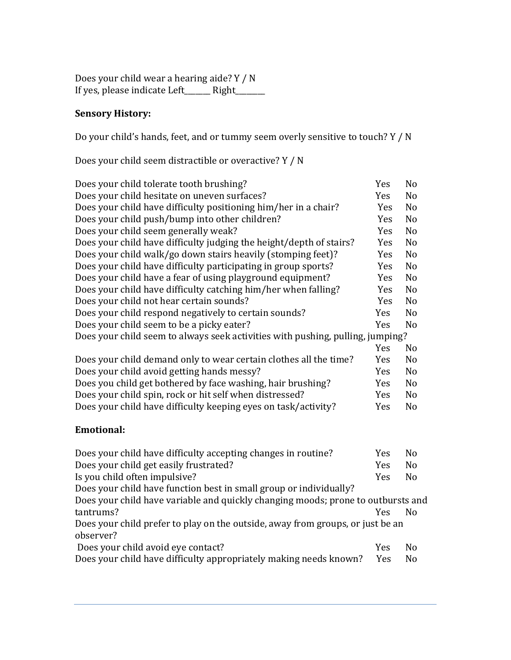Does your child wear a hearing aide?  $Y / N$ If yes, please indicate Left\_\_\_\_\_\_\_ Right\_\_\_\_\_\_\_

## **Sensory History:**

Do your child's hands, feet, and or tummy seem overly sensitive to touch?  $Y / N$ 

Does your child seem distractible or overactive?  $Y / N$ 

| Does your child tolerate tooth brushing?                                       | Yes        | N <sub>o</sub> |  |  |
|--------------------------------------------------------------------------------|------------|----------------|--|--|
| Does your child hesitate on uneven surfaces?                                   | <b>Yes</b> | N <sub>o</sub> |  |  |
| Does your child have difficulty positioning him/her in a chair?                | Yes        | No             |  |  |
| Does your child push/bump into other children?                                 | Yes        | N <sub>o</sub> |  |  |
| Does your child seem generally weak?                                           | <b>Yes</b> | N <sub>0</sub> |  |  |
| Does your child have difficulty judging the height/depth of stairs?            | Yes        | No             |  |  |
| Does your child walk/go down stairs heavily (stomping feet)?                   | <b>Yes</b> | No             |  |  |
| Does your child have difficulty participating in group sports?                 | Yes        | No             |  |  |
| Does your child have a fear of using playground equipment?                     | <b>Yes</b> | N <sub>o</sub> |  |  |
| Does your child have difficulty catching him/her when falling?                 | <b>Yes</b> | N <sub>o</sub> |  |  |
| Does your child not hear certain sounds?                                       | <b>Yes</b> | N <sub>0</sub> |  |  |
| Does your child respond negatively to certain sounds?                          | <b>Yes</b> | No             |  |  |
| Does your child seem to be a picky eater?                                      | <b>Yes</b> | N <sub>o</sub> |  |  |
| Does your child seem to always seek activities with pushing, pulling, jumping? |            |                |  |  |
|                                                                                | Yes        | No.            |  |  |
| Does your child demand only to wear certain clothes all the time?              | <b>Yes</b> | No             |  |  |
| Does your child avoid getting hands messy?                                     | <b>Yes</b> | No             |  |  |
| Does you child get bothered by face washing, hair brushing?                    | <b>Yes</b> | No.            |  |  |
| Does your child spin, rock or hit self when distressed?                        | <b>Yes</b> | N <sub>0</sub> |  |  |
| Does your child have difficulty keeping eyes on task/activity?                 | Yes        | No             |  |  |
|                                                                                |            |                |  |  |

### **Emotional:**

| Yes                                                                              | N <sub>0</sub> |  |  |  |
|----------------------------------------------------------------------------------|----------------|--|--|--|
| Yes                                                                              | N <sub>0</sub> |  |  |  |
| <b>Yes</b>                                                                       | N <sub>0</sub> |  |  |  |
|                                                                                  |                |  |  |  |
| Does your child have variable and quickly changing moods; prone to outbursts and |                |  |  |  |
| <b>Yes</b>                                                                       | N٥             |  |  |  |
| Does your child prefer to play on the outside, away from groups, or just be an   |                |  |  |  |
|                                                                                  |                |  |  |  |
| <b>Yes</b>                                                                       | No             |  |  |  |
| <b>Yes</b>                                                                       | N <sub>0</sub> |  |  |  |
|                                                                                  |                |  |  |  |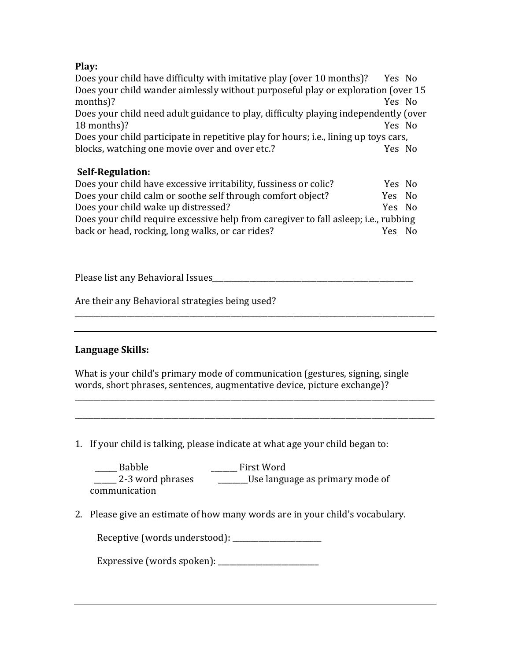## Play:

Does your child have difficulty with imitative play (over  $10$  months)? Yes No Does your child wander aimlessly without purposeful play or exploration (over 15 months)? Yes No Does your child need adult guidance to play, difficulty playing independently (over 18 months)? Yes No Does your child participate in repetitive play for hours; i.e., lining up toys cars, blocks, watching one movie over and over etc.? Yes No

## **Self-Regulation:**

| Does your child have excessive irritability, fussiness or colic?                            | Yes No |  |
|---------------------------------------------------------------------------------------------|--------|--|
| Does your child calm or soothe self through comfort object?                                 | Yes No |  |
| Does your child wake up distressed?                                                         | Yes No |  |
| Does your child require excessive help from caregiver to fall asleep; <i>i.e.</i> , rubbing |        |  |
| back or head, rocking, long walks, or car rides?                                            | Yes No |  |

Please list any Behavioral Issues

\_\_\_\_\_\_\_\_\_\_\_\_\_\_\_\_\_\_\_\_\_\_\_\_\_\_\_\_\_\_\_\_\_\_\_\_\_\_\_\_\_\_\_\_\_\_\_\_\_\_\_\_\_\_\_\_\_\_\_\_\_\_\_\_\_\_\_\_\_\_\_\_\_\_\_\_\_\_\_\_\_\_\_\_\_\_\_\_\_\_\_\_\_\_\_\_\_

Are their any Behavioral strategies being used?

## **Language Skills:**

What is your child's primary mode of communication (gestures, signing, single words, short phrases, sentences, augmentative device, picture exchange)?

\_\_\_\_\_\_\_\_\_\_\_\_\_\_\_\_\_\_\_\_\_\_\_\_\_\_\_\_\_\_\_\_\_\_\_\_\_\_\_\_\_\_\_\_\_\_\_\_\_\_\_\_\_\_\_\_\_\_\_\_\_\_\_\_\_\_\_\_\_\_\_\_\_\_\_\_\_\_\_\_\_\_\_\_\_\_\_\_\_\_\_\_\_\_\_\_\_

\_\_\_\_\_\_\_\_\_\_\_\_\_\_\_\_\_\_\_\_\_\_\_\_\_\_\_\_\_\_\_\_\_\_\_\_\_\_\_\_\_\_\_\_\_\_\_\_\_\_\_\_\_\_\_\_\_\_\_\_\_\_\_\_\_\_\_\_\_\_\_\_\_\_\_\_\_\_\_\_\_\_\_\_\_\_\_\_\_\_\_\_\_\_\_\_\_

1. If your child is talking, please indicate at what age your child began to:

 \_\_\_\_\_\_ Babble \_\_\_\_\_\_\_ First Word \_\_\_\_\_ 2-3 word phrases \_\_\_\_\_\_\_\_\_\_Use language as primary mode of communication

2. Please give an estimate of how many words are in your child's vocabulary.

Receptive (words understood):

 Expressive (words spoken): \_\_\_\_\_\_\_\_\_\_\_\_\_\_\_\_\_\_\_\_\_\_\_\_\_\_\_